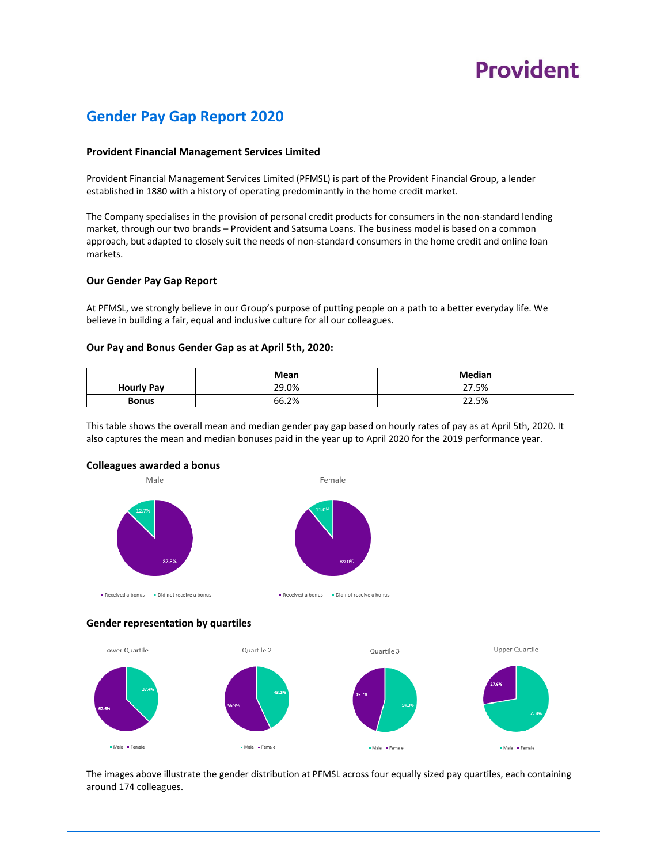## **Provident**

### **Gender Pay Gap Report 2020**

### **Provident Financial Management Services Limited**

Provident Financial Management Services Limited (PFMSL) is part of the Provident Financial Group, a lender established in 1880 with a history of operating predominantly in the home credit market.

The Company specialises in the provision of personal credit products for consumers in the non‐standard lending market, through our two brands – Provident and Satsuma Loans. The business model is based on a common approach, but adapted to closely suit the needs of non‐standard consumers in the home credit and online loan markets.

#### **Our Gender Pay Gap Report**

At PFMSL, we strongly believe in our Group's purpose of putting people on a path to a better everyday life. We believe in building a fair, equal and inclusive culture for all our colleagues.

#### **Our Pay and Bonus Gender Gap as at April 5th, 2020:**

|                   | Mean  | <b>Median</b> |
|-------------------|-------|---------------|
| <b>Hourly Pay</b> | 29.0% | 27.5%         |
| Bonus             | 66.2% | 22.5%         |

This table shows the overall mean and median gender pay gap based on hourly rates of pay as at April 5th, 2020. It also captures the mean and median bonuses paid in the year up to April 2020 for the 2019 performance year.

Female





Received a bonus Did not receive a bonus





The images above illustrate the gender distribution at PFMSL across four equally sized pay quartiles, each containing around 174 colleagues.